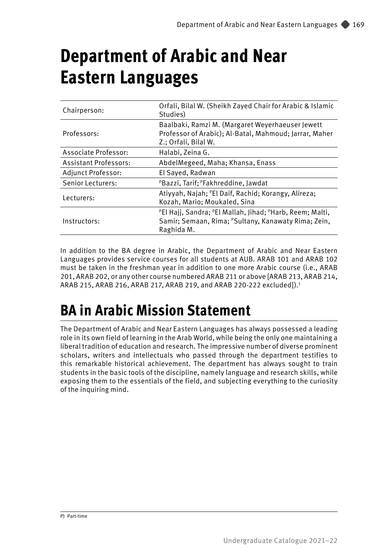# **Department of Arabic and Near Eastern Languages**

| Chairperson:                 | Orfali, Bilal W. (Sheikh Zayed Chair for Arabic & Islamic<br>Studies)                                                                                                         |  |  |
|------------------------------|-------------------------------------------------------------------------------------------------------------------------------------------------------------------------------|--|--|
| Professors:                  | Baalbaki, Ramzi M. (Margaret Weyerhaeuser Jewett<br>Professor of Arabic); Al-Batal, Mahmoud; Jarrar, Maher<br>Z.; Orfali, Bilal W.                                            |  |  |
| Associate Professor:         | Halabi, Zeina G.                                                                                                                                                              |  |  |
| <b>Assistant Professors:</b> | AbdelMegeed, Maha; Khansa, Enass                                                                                                                                              |  |  |
| Adjunct Professor:           | El Saved, Radwan                                                                                                                                                              |  |  |
| Senior Lecturers:            | PBazzi, Tarif; PFakhreddine, Jawdat                                                                                                                                           |  |  |
| Lecturers:                   | Atiyyah, Najah; <sup>P</sup> El Daif, Rachid; Korangy, Alireza;<br>Kozah, Mario; Moukaled, Sina                                                                               |  |  |
| Instructors:                 | <sup>P</sup> El Hajj, Sandra; <sup>P</sup> El Mallah, Jihad; <sup>P</sup> Harb, Reem; Malti,<br>Samir; Semaan, Rima; <sup>P</sup> Sultany, Kanawaty Rima; Zein,<br>Raghida M. |  |  |

In addition to the BA degree in Arabic, the Department of Arabic and Near Eastern Languages provides service courses for all students at AUB. ARAB 101 and ARAB 102 must be taken in the freshman year in addition to one more Arabic course (i.e., ARAB 201, ARAB 202, or any other course numbered ARAB 211 or above [ARAB 213, ARAB 214, ARAB 215, ARAB 216, ARAB 217, ARAB 219, and ARAB 220-222 excluded]).1

# **BA in Arabic Mission Statement**

The Department of Arabic and Near Eastern Languages has always possessed a leading role in its own field of learning in the Arab World, while being the only one maintaining a liberal tradition of education and research. The impressive number of diverse prominent scholars, writers and intellectuals who passed through the department testifies to this remarkable historical achievement. The department has always sought to train students in the basic tools of the discipline, namely language and research skills, while exposing them to the essentials of the field, and subjecting everything to the curiosity of the inquiring mind.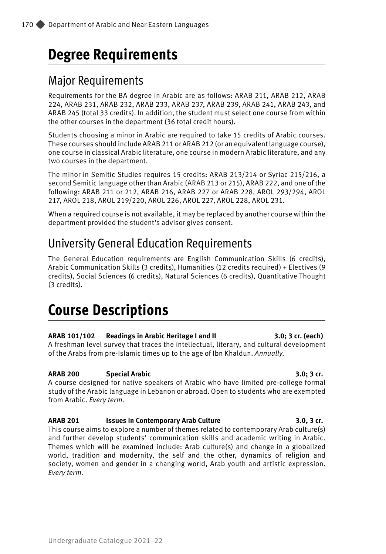# **Degree Requirements**

# Major Requirements

Requirements for the BA degree in Arabic are as follows: ARAB 211, ARAB 212, ARAB 224, ARAB 231, ARAB 232, ARAB 233, ARAB 237, ARAB 239, ARAB 241, ARAB 243, and ARAB 245 (total 33 credits). In addition, the student must select one course from within the other courses in the department (36 total credit hours).

Students choosing a minor in Arabic are required to take 15 credits of Arabic courses. These courses should include ARAB 211 or ARAB 212 (or an equivalent language course), one course in classical Arabic literature, one course in modern Arabic literature, and any two courses in the department.

The minor in Semitic Studies requires 15 credits: ARAB 213/214 or Syriac 215/216, a second Semitic language other than Arabic (ARAB 213 or 215), ARAB 222, and one of the following: ARAB 211 or 212, ARAB 216, ARAB 227 or ARAB 228, AROL 293/294, AROL 217, AROL 218, AROL 219/220, AROL 226, AROL 227, AROL 228, AROL 231.

When a required course is not available, it may be replaced by another course within the department provided the student's advisor gives consent.

# University General Education Requirements

The General Education requirements are English Communication Skills (6 credits), Arabic Communication Skills (3 credits), Humanities (12 credits required) + Electives (9 credits), Social Sciences (6 credits), Natural Sciences (6 credits), Quantitative Thought (3 credits).

# **Course Descriptions**

# **ARAB 101/102 Readings in Arabic Heritage I and II 3.0; 3 cr. (each)**

A freshman level survey that traces the intellectual, literary, and cultural development of the Arabs from pre-Islamic times up to the age of Ibn Khaldun. *Annually.*

# **ARAB 200 Special Arabic 3.0; 3 cr.**

A course designed for native speakers of Arabic who have limited pre-college formal study of the Arabic language in Lebanon or abroad. Open to students who are exempted from Arabic. *Every term.*

# **ARAB 201 Issues in Contemporary Arab Culture 3.0, 3 cr.**

This course aims to explore a number of themes related to contemporary Arab culture(s) and further develop students' communication skills and academic writing in Arabic. Themes which will be examined include: Arab culture(s) and change in a globalized world, tradition and modernity, the self and the other, dynamics of religion and society, women and gender in a changing world, Arab youth and artistic expression. *Every term.* 

### Undergraduate Catalogue 2021–22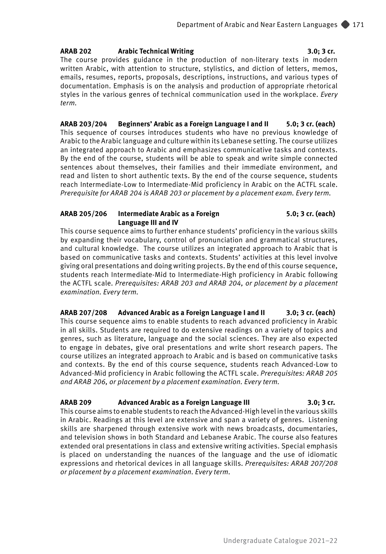### **ARAB 202 Arabic Technical Writing 3.0; 3 cr.**

The course provides guidance in the production of non-literary texts in modern written Arabic, with attention to structure, stylistics, and diction of letters, memos, emails, resumes, reports, proposals, descriptions, instructions, and various types of documentation. Emphasis is on the analysis and production of appropriate rhetorical styles in the various genres of technical communication used in the workplace. *Every term.*

**ARAB 203/204 Beginners' Arabic as a Foreign Language I and II 5.0; 3 cr. (each)** This sequence of courses introduces students who have no previous knowledge of Arabic to the Arabic language and culture within its Lebanese setting. The course utilizes an integrated approach to Arabic and emphasizes communicative tasks and contexts. By the end of the course, students will be able to speak and write simple connected sentences about themselves, their families and their immediate environment, and read and listen to short authentic texts. By the end of the course sequence, students reach Intermediate-Low to Intermediate-Mid proficiency in Arabic on the ACTFL scale. *Prerequisite for ARAB 204 is ARAB 203 or placement by a placement exam. Every term.* 

### **ARAB 205/206 Intermediate Arabic as a Foreign 5.0; 3 cr. (each) Language III and IV**

This course sequence aims to further enhance students' proficiency in the various skills by expanding their vocabulary, control of pronunciation and grammatical structures, and cultural knowledge. The course utilizes an integrated approach to Arabic that is based on communicative tasks and contexts. Students' activities at this level involve giving oral presentations and doing writing projects. By the end of this course sequence, students reach Intermediate-Mid to Intermediate-High proficiency in Arabic following the ACTFL scale. *Prerequisites: ARAB 203 and ARAB 204, or placement by a placement examination. Every term.*

**ARAB 207/208 Advanced Arabic as a Foreign Language I and II 3.0; 3 cr. (each)** This course sequence aims to enable students to reach advanced proficiency in Arabic in all skills. Students are required to do extensive readings on a variety of topics and genres, such as literature, language and the social sciences. They are also expected to engage in debates, give oral presentations and write short research papers. The course utilizes an integrated approach to Arabic and is based on communicative tasks and contexts. By the end of this course sequence, students reach Advanced-Low to Advanced-Mid proficiency in Arabic following the ACTFL scale. *Prerequisites: ARAB 205 and ARAB 206, or placement by a placement examination. Every term.*

# **ARAB 209 Advanced Arabic as a Foreign Language III 3.0; 3 cr.**

This course aims to enable students to reach the Advanced-High level in the various skills in Arabic. Readings at this level are extensive and span a variety of genres. Listening skills are sharpened through extensive work with news broadcasts, documentaries, and television shows in both Standard and Lebanese Arabic. The course also features extended oral presentations in class and extensive writing activities. Special emphasis is placed on understanding the nuances of the language and the use of idiomatic expressions and rhetorical devices in all language skills. *Prerequisites: ARAB 207/208 or placement by a placement examination. Every term.*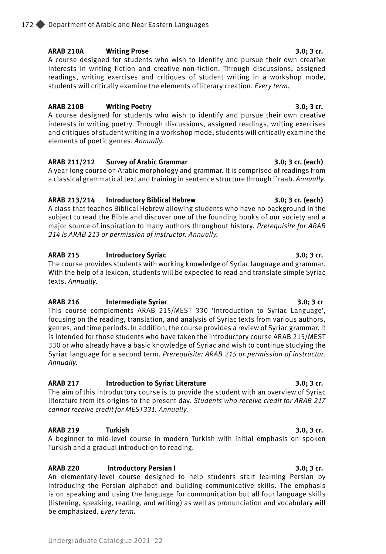**ARAB 210A Writing Prose 3.0; 3 cr.** A course designed for students who wish to identify and pursue their own creative interests in writing fiction and creative non-fiction. Through discussions, assigned readings, writing exercises and critiques of student writing in a workshop mode, students will critically examine the elements of literary creation. *Every term.*

# **ARAB 210B Writing Poetry 3.0; 3 cr.**

A course designed for students who wish to identify and pursue their own creative interests in writing poetry. Through discussions, assigned readings, writing exercises and critiques of student writing in a workshop mode, students will critically examine the elements of poetic genres. *Annually.*

# **ARAB 211/212 Survey of Arabic Grammar 3.0; 3 cr. (each)**

A year-long course on Arabic morphology and grammar. It is comprised of readings from a classical grammatical text and training in sentence structure through i`raab. *Annually.*

# **ARAB 213/214 Introductory Biblical Hebrew 3.0; 3 cr. (each)**

A class that teaches Biblical Hebrew allowing students who have no background in the subject to read the Bible and discover one of the founding books of our society and a major source of inspiration to many authors throughout history. *Prerequisite for ARAB 214 is ARAB 213 or permission of instructor. Annually.* 

# **ARAB 215 Introductory Syriac 3.0; 3 cr.**

The course provides students with working knowledge of Syriac language and grammar. With the help of a lexicon, students will be expected to read and translate simple Syriac texts. *Annually.*

# **ARAB 216 Intermediate Syriac 3.0; 3 cr**

This course complements ARAB 215/MEST 330 'Introduction to Syriac Language', focusing on the reading, translation, and analysis of Syriac texts from various authors, genres, and time periods. In addition, the course provides a review of Syriac grammar. It is intended for those students who have taken the introductory course ARAB 215/MEST 330 or who already have a basic knowledge of Syriac and wish to continue studying the Syriac language for a second term. *Prerequisite: ARAB 215 or permission of instructor. Annually.* 

# **ARAB 217 Introduction to Syriac Literature 3.0; 3 cr.**

The aim of this introductory course is to provide the student with an overview of Syriac literature from its origins to the present day. *Students who receive credit for ARAB 217 cannot receive credit for MEST331. Annually.*

# **ARAB 219 Turkish 3.0, 3 cr.**

A beginner to mid-level course in modern Turkish with initial emphasis on spoken Turkish and a gradual introduction to reading.

# **ARAB 220 Introductory Persian I 3.0; 3 cr.**

An elementary-level course designed to help students start learning Persian by introducing the Persian alphabet and building communicative skills. The emphasis is on speaking and using the language for communication but all four language skills (listening, speaking, reading, and writing) as well as pronunciation and vocabulary will be emphasized. *Every term.*

### Undergraduate Catalogue 2021–22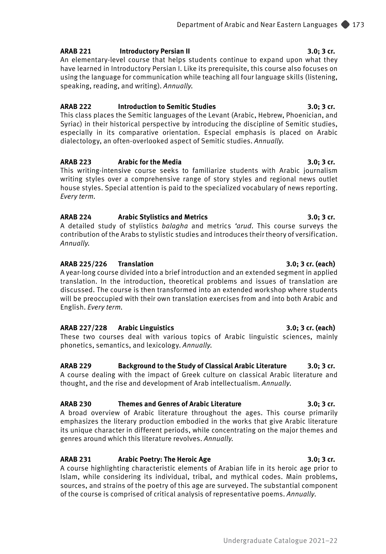### **ARAB 221 Introductory Persian II 3.0; 3 cr.**

An elementary-level course that helps students continue to expand upon what they have learned in Introductory Persian I. Like its prerequisite, this course also focuses on using the language for communication while teaching all four language skills (listening, speaking, reading, and writing). *Annually.*

### **ARAB 222 Introduction to Semitic Studies 3.0; 3 cr.**

This class places the Semitic languages of the Levant (Arabic, Hebrew, Phoenician, and Syriac) in their historical perspective by introducing the discipline of Semitic studies, especially in its comparative orientation. Especial emphasis is placed on Arabic dialectology, an often-overlooked aspect of Semitic studies. *Annually*.

### **ARAB 223 Arabic for the Media 3.0; 3 cr.**

This writing-intensive course seeks to familiarize students with Arabic journalism writing styles over a comprehensive range of story styles and regional news outlet house styles. Special attention is paid to the specialized vocabulary of news reporting. *Every term.*

## **ARAB 224 Arabic Stylistics and Metrics 3.0; 3 cr.**

A detailed study of stylistics *balagha* and metrics *'arud*. This course surveys the contribution of the Arabs to stylistic studies and introduces their theory of versification. *Annually.*

## **ARAB 225/226 Translation 3.0; 3 cr. (each)**

A year-long course divided into a brief introduction and an extended segment in applied translation. In the introduction, theoretical problems and issues of translation are discussed. The course is then transformed into an extended workshop where students will be preoccupied with their own translation exercises from and into both Arabic and English. *Every term.*

### **ARAB 227/228 Arabic Linguistics 3.0; 3 cr. (each)**

These two courses deal with various topics of Arabic linguistic sciences, mainly phonetics, semantics, and lexicology. *Annually.*

# **ARAB 229 Background to the Study of Classical Arabic Literature 3.0; 3 cr.**

A course dealing with the impact of Greek culture on classical Arabic literature and thought, and the rise and development of Arab intellectualism. *Annually*.

# **ARAB 230 Themes and Genres of Arabic Literature 3.0; 3 cr.**

A broad overview of Arabic literature throughout the ages. This course primarily emphasizes the literary production embodied in the works that give Arabic literature its unique character in different periods, while concentrating on the major themes and genres around which this literature revolves. *Annually.*

# **ARAB 231** Arabic Poetry: The Heroic Age 3.0; 3 cr.

A course highlighting characteristic elements of Arabian life in its heroic age prior to Islam, while considering its individual, tribal, and mythical codes. Main problems, sources, and strains of the poetry of this age are surveyed. The substantial component of the course is comprised of critical analysis of representative poems. *Annually*.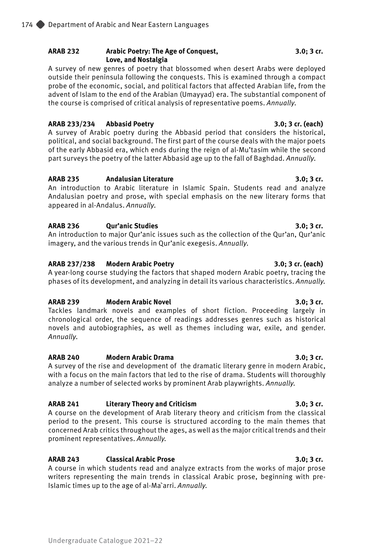# **ARAB 232 Arabic Poetry: The Age of Conquest, 3.0; 3 cr. Love, and Nostalgia**

A survey of new genres of poetry that blossomed when desert Arabs were deployed outside their peninsula following the conquests. This is examined through a compact probe of the economic, social, and political factors that affected Arabian life, from the advent of Islam to the end of the Arabian (Umayyad) era. The substantial component of the course is comprised of critical analysis of representative poems. *Annually*.

# **ARAB 233/234 Abbasid Poetry 3.0; 3 cr. (each)**

A survey of Arabic poetry during the Abbasid period that considers the historical, political, and social background. The first part of the course deals with the major poets of the early Abbasid era, which ends during the reign of al-Mu'tasim while the second part surveys the poetry of the latter Abbasid age up to the fall of Baghdad. *Annually*.

# **ARAB 235 Andalusian Literature 3.0; 3 cr.**

An introduction to Arabic literature in Islamic Spain. Students read and analyze Andalusian poetry and prose, with special emphasis on the new literary forms that appeared in al-Andalus. *Annually*.

# **ARAB 236 Qur'anic Studies 3.0; 3 cr.**

An introduction to major Qur'anic issues such as the collection of the Qur'an, Qur'anic imagery, and the various trends in Qur'anic exegesis. *Annually*.

# **ARAB 237/238 Modern Arabic Poetry 3.0; 3 cr. (each)**

A year-long course studying the factors that shaped modern Arabic poetry, tracing the phases of its development, and analyzing in detail its various characteristics. *Annually.*

# **ARAB 239 Modern Arabic Novel 3.0; 3 cr.**

Tackles landmark novels and examples of short fiction. Proceeding largely in chronological order, the sequence of readings addresses genres such as historical novels and autobiographies, as well as themes including war, exile, and gender. *Annually*.

# **ARAB 240 Modern Arabic Drama 3.0; 3 cr.**

A survey of the rise and development of the dramatic literary genre in modern Arabic, with a focus on the main factors that led to the rise of drama. Students will thoroughly analyze a number of selected works by prominent Arab playwrights. *Annually.*

# **ARAB 241 Literary Theory and Criticism 3.0; 3 cr.**

A course on the development of Arab literary theory and criticism from the classical period to the present. This course is structured according to the main themes that concerned Arab critics throughout the ages, as well as the major critical trends and their prominent representatives. *Annually.*

# **ARAB 243 Classical Arabic Prose 3.0; 3 cr.**

A course in which students read and analyze extracts from the works of major prose writers representing the main trends in classical Arabic prose, beginning with pre-Islamic times up to the age of al-Ma`arri. *Annually.*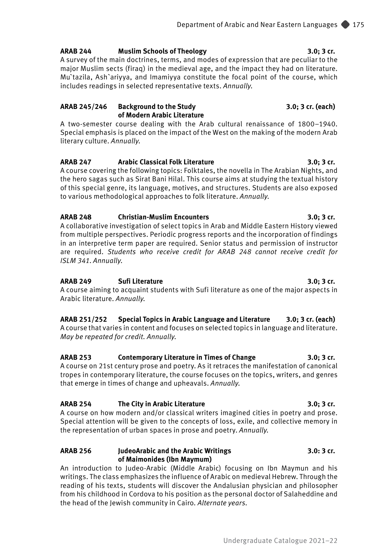# **ARAB 244 Muslim Schools of Theology 3.0; 3 cr.**

A survey of the main doctrines, terms, and modes of expression that are peculiar to the major Muslim sects (firaq) in the medieval age, and the impact they had on literature. Mu`tazila, Ash`ariyya, and Imamiyya constitute the focal point of the course, which includes readings in selected representative texts. *Annually.*

## **ARAB 245/246 Background to the Study 3.0; 3 cr. (each) of Modern Arabic Literature**

A two-semester course dealing with the Arab cultural renaissance of 1800–1940. Special emphasis is placed on the impact of the West on the making of the modern Arab literary culture. *Annually.*

# **ARAB 247 Arabic Classical Folk Literature 3.0; 3 cr.**

A course covering the following topics: Folktales, the novella in The Arabian Nights, and the hero sagas such as Sirat Bani Hilal. This course aims at studying the textual history of this special genre, its language, motives, and structures. Students are also exposed to various methodological approaches to folk literature. *Annually.*

## **ARAB 248 Christian-Muslim Encounters 3.0; 3 cr.**

A collaborative investigation of select topics in Arab and Middle Eastern History viewed from multiple perspectives. Periodic progress reports and the incorporation of findings in an interpretive term paper are required. Senior status and permission of instructor are required. *Students who receive credit for ARAB 248 cannot receive credit for ISLM 341*. *Annually.*

# **ARAB 249 Sufi Literature 3.0; 3 cr.**

A course aiming to acquaint students with Sufi literature as one of the major aspects in Arabic literature. *Annually.*

### **ARAB 251/252 Special Topics in Arabic Language and Literature 3.0; 3 cr. (each)** A course that varies in content and focuses on selected topics in language and literature. *May be repeated for credit. Annually.*

# **ARAB 253 Contemporary Literature in Times of Change 3.0; 3 cr.**

A course on 21st century prose and poetry. As it retraces the manifestation of canonical tropes in contemporary literature, the course focuses on the topics, writers, and genres that emerge in times of change and upheavals. *Annually.*

# **ARAB 254 The City in Arabic Literature 3.0; 3 cr.**

A course on how modern and/or classical writers imagined cities in poetry and prose. Special attention will be given to the concepts of loss, exile, and collective memory in the representation of urban spaces in prose and poetry. *Annually.*

# **ARAB 256 JudeoArabic and the Arabic Writings 3.0: 3 cr. of Maimonides (Ibn Maymum)**

An introduction to Judeo-Arabic (Middle Arabic) focusing on Ibn Maymun and his writings. The class emphasizes the influence of Arabic on medieval Hebrew. Through the reading of his texts, students will discover the Andalusian physician and philosopher from his childhood in Cordova to his position as the personal doctor of Salaheddine and the head of the Jewish community in Cairo*. Alternate years.*